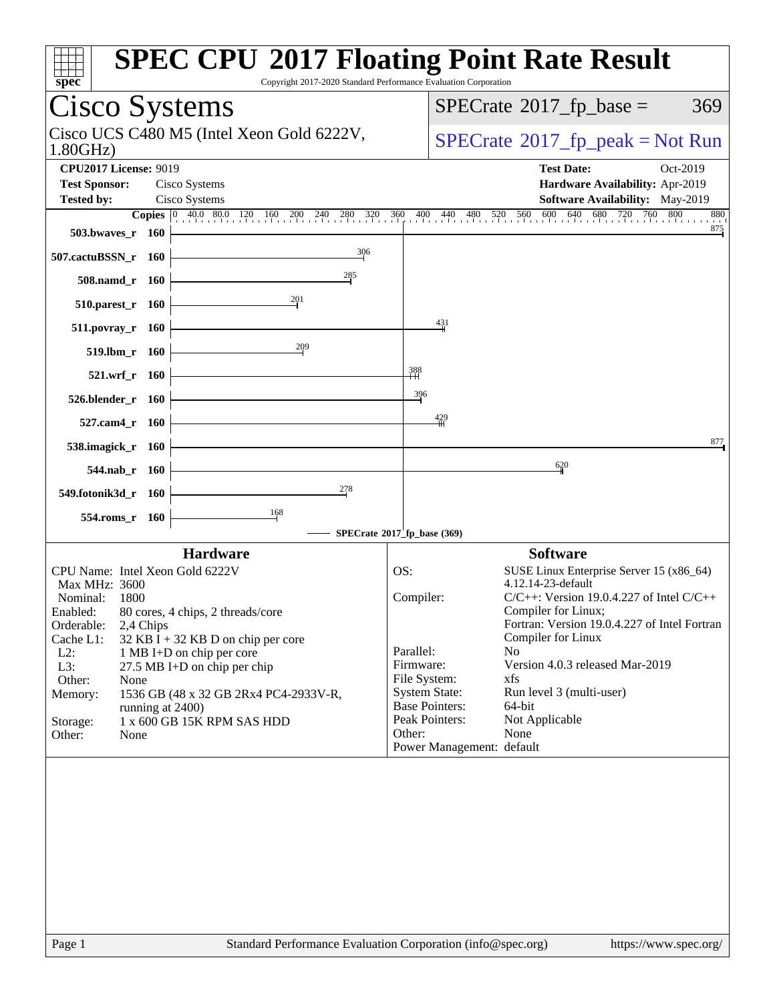| spec                                                                                                                                                                                                                                                                                                                                                                                                                                      | <b>SPEC CPU®2017 Floating Point Rate Result</b><br>Copyright 2017-2020 Standard Performance Evaluation Corporation                                                                                                                                                                                                                                                                                                                                                                                               |
|-------------------------------------------------------------------------------------------------------------------------------------------------------------------------------------------------------------------------------------------------------------------------------------------------------------------------------------------------------------------------------------------------------------------------------------------|------------------------------------------------------------------------------------------------------------------------------------------------------------------------------------------------------------------------------------------------------------------------------------------------------------------------------------------------------------------------------------------------------------------------------------------------------------------------------------------------------------------|
| Cisco Systems                                                                                                                                                                                                                                                                                                                                                                                                                             | $SPECrate^{\circledast}2017$ _fp_base =<br>369                                                                                                                                                                                                                                                                                                                                                                                                                                                                   |
| Cisco UCS C480 M5 (Intel Xeon Gold 6222V,<br>1.80GHz                                                                                                                                                                                                                                                                                                                                                                                      | $SPECrate^{\circ}2017rfp peak = Not Run$                                                                                                                                                                                                                                                                                                                                                                                                                                                                         |
| <b>CPU2017 License: 9019</b><br><b>Test Sponsor:</b><br>Cisco Systems                                                                                                                                                                                                                                                                                                                                                                     | <b>Test Date:</b><br>Oct-2019<br>Hardware Availability: Apr-2019                                                                                                                                                                                                                                                                                                                                                                                                                                                 |
| Cisco Systems<br><b>Tested by:</b><br><b>Copies</b> 0 40.0 80.0 120 160 200 240 280 320<br>503.bwayes_r 160                                                                                                                                                                                                                                                                                                                               | <b>Software Availability:</b> May-2019<br>600<br>640<br>680 720 760 800<br>360<br>400 440<br>520 560<br>880<br>$^{480}$<br>875                                                                                                                                                                                                                                                                                                                                                                                   |
| 306<br>507.cactuBSSN_r 160                                                                                                                                                                                                                                                                                                                                                                                                                |                                                                                                                                                                                                                                                                                                                                                                                                                                                                                                                  |
| 285<br>508.namd_r 160<br>201                                                                                                                                                                                                                                                                                                                                                                                                              |                                                                                                                                                                                                                                                                                                                                                                                                                                                                                                                  |
| 510.parest_r 160<br>$511. povray_r 160$                                                                                                                                                                                                                                                                                                                                                                                                   | $\frac{431}{4}$                                                                                                                                                                                                                                                                                                                                                                                                                                                                                                  |
| 209<br>519.lbm_r 160                                                                                                                                                                                                                                                                                                                                                                                                                      |                                                                                                                                                                                                                                                                                                                                                                                                                                                                                                                  |
| 521.wrf_r 160                                                                                                                                                                                                                                                                                                                                                                                                                             | $\frac{388}{11}$                                                                                                                                                                                                                                                                                                                                                                                                                                                                                                 |
| 526.blender_r 160                                                                                                                                                                                                                                                                                                                                                                                                                         | 396<br>$\frac{429}{4}$                                                                                                                                                                                                                                                                                                                                                                                                                                                                                           |
| 527.cam4_r 160<br>538.imagick_r 160                                                                                                                                                                                                                                                                                                                                                                                                       | 877                                                                                                                                                                                                                                                                                                                                                                                                                                                                                                              |
| 544.nab_r 160                                                                                                                                                                                                                                                                                                                                                                                                                             | 620                                                                                                                                                                                                                                                                                                                                                                                                                                                                                                              |
| 278<br>549.fotonik3d_r 160                                                                                                                                                                                                                                                                                                                                                                                                                |                                                                                                                                                                                                                                                                                                                                                                                                                                                                                                                  |
| 168<br>554.roms_r 160                                                                                                                                                                                                                                                                                                                                                                                                                     | SPECrate®2017_fp_base (369)                                                                                                                                                                                                                                                                                                                                                                                                                                                                                      |
| <b>Hardware</b>                                                                                                                                                                                                                                                                                                                                                                                                                           | <b>Software</b>                                                                                                                                                                                                                                                                                                                                                                                                                                                                                                  |
| CPU Name: Intel Xeon Gold 6222V<br>Max MHz: 3600<br>Nominal:<br>1800<br>80 cores, 4 chips, 2 threads/core<br>Enabled:<br>Orderable:<br>2,4 Chips<br>Cache L1:<br>$32$ KB I + 32 KB D on chip per core<br>$L2$ :<br>1 MB I+D on chip per core<br>L3:<br>27.5 MB I+D on chip per chip<br>Other:<br>None<br>Memory:<br>1536 GB (48 x 32 GB 2Rx4 PC4-2933V-R,<br>running at 2400)<br>1 x 600 GB 15K RPM SAS HDD<br>Storage:<br>Other:<br>None | OS:<br>SUSE Linux Enterprise Server 15 (x86_64)<br>4.12.14-23-default<br>Compiler:<br>$C/C++$ : Version 19.0.4.227 of Intel $C/C++$<br>Compiler for Linux;<br>Fortran: Version 19.0.4.227 of Intel Fortran<br>Compiler for Linux<br>Parallel:<br>N <sub>o</sub><br>Version 4.0.3 released Mar-2019<br>Firmware:<br>File System:<br>xfs<br><b>System State:</b><br>Run level 3 (multi-user)<br><b>Base Pointers:</b><br>64-bit<br>Peak Pointers:<br>Not Applicable<br>None<br>Other:<br>Power Management: default |
| Page 1                                                                                                                                                                                                                                                                                                                                                                                                                                    | Standard Performance Evaluation Corporation (info@spec.org)<br>https://www.spec.org/                                                                                                                                                                                                                                                                                                                                                                                                                             |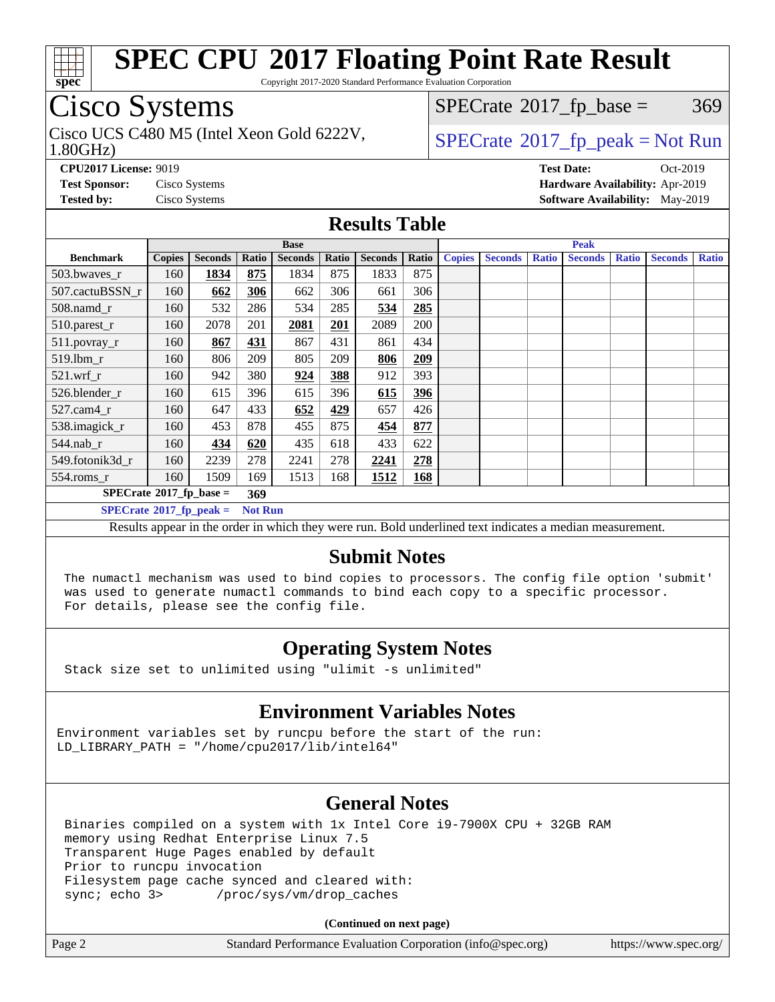

Copyright 2017-2020 Standard Performance Evaluation Corporation

## Cisco Systems

1.80GHz) Cisco UCS C480 M5 (Intel Xeon Gold 6222V,  $\begin{array}{c|c} | \text{SPECrate} \textdegree 2017\_fp\_peak = Not Run \end{array}$  $\begin{array}{c|c} | \text{SPECrate} \textdegree 2017\_fp\_peak = Not Run \end{array}$  $\begin{array}{c|c} | \text{SPECrate} \textdegree 2017\_fp\_peak = Not Run \end{array}$ 

 $SPECTate@2017_fp\_base = 369$ 

**[CPU2017 License:](http://www.spec.org/auto/cpu2017/Docs/result-fields.html#CPU2017License)** 9019 **[Test Date:](http://www.spec.org/auto/cpu2017/Docs/result-fields.html#TestDate)** Oct-2019 **[Test Sponsor:](http://www.spec.org/auto/cpu2017/Docs/result-fields.html#TestSponsor)** Cisco Systems **[Hardware Availability:](http://www.spec.org/auto/cpu2017/Docs/result-fields.html#HardwareAvailability)** Apr-2019 **[Tested by:](http://www.spec.org/auto/cpu2017/Docs/result-fields.html#Testedby)** Cisco Systems **[Software Availability:](http://www.spec.org/auto/cpu2017/Docs/result-fields.html#SoftwareAvailability)** May-2019

#### **[Results Table](http://www.spec.org/auto/cpu2017/Docs/result-fields.html#ResultsTable)**

| <b>Base</b>                       |               |                |                |                | <b>Peak</b> |                |            |               |                |              |                |              |                |              |
|-----------------------------------|---------------|----------------|----------------|----------------|-------------|----------------|------------|---------------|----------------|--------------|----------------|--------------|----------------|--------------|
| <b>Benchmark</b>                  | <b>Copies</b> | <b>Seconds</b> | Ratio          | <b>Seconds</b> | Ratio       | <b>Seconds</b> | Ratio      | <b>Copies</b> | <b>Seconds</b> | <b>Ratio</b> | <b>Seconds</b> | <b>Ratio</b> | <b>Seconds</b> | <b>Ratio</b> |
| 503.bwayes r                      | 160           | 1834           | 875            | 1834           | 875         | 1833           | 875        |               |                |              |                |              |                |              |
| 507.cactuBSSN r                   | 160           | 662            | 306            | 662            | 306         | 661            | 306        |               |                |              |                |              |                |              |
| $508$ .namd $r$                   | 160           | 532            | 286            | 534            | 285         | 534            | 285        |               |                |              |                |              |                |              |
| 510.parest_r                      | 160           | 2078           | 201            | 2081           | 201         | 2089           | 200        |               |                |              |                |              |                |              |
| 511.povray_r                      | 160           | 867            | 431            | 867            | 431         | 861            | 434        |               |                |              |                |              |                |              |
| 519.1bm r                         | 160           | 806            | 209            | 805            | 209         | 806            | 209        |               |                |              |                |              |                |              |
| 521.wrf                           | 160           | 942            | 380            | 924            | 388         | 912            | 393        |               |                |              |                |              |                |              |
| 526.blender r                     | 160           | 615            | 396            | 615            | 396         | 615            | 396        |               |                |              |                |              |                |              |
| $527$ .cam $4r$                   | 160           | 647            | 433            | 652            | 429         | 657            | 426        |               |                |              |                |              |                |              |
| 538.imagick_r                     | 160           | 453            | 878            | 455            | 875         | 454            | 877        |               |                |              |                |              |                |              |
| 544.nab_r                         | 160           | 434            | 620            | 435            | 618         | 433            | 622        |               |                |              |                |              |                |              |
| 549.fotonik3d r                   | 160           | 2239           | 278            | 2241           | 278         | 2241           | 278        |               |                |              |                |              |                |              |
| $554$ .roms_r                     | 160           | 1509           | 169            | 1513           | 168         | 1512           | <u>168</u> |               |                |              |                |              |                |              |
| $SPECrate*2017_fp\_base =$        |               |                | 369            |                |             |                |            |               |                |              |                |              |                |              |
| $SPECrate^{\circ}2017$ _fp_peak = |               |                | <b>Not Run</b> |                |             |                |            |               |                |              |                |              |                |              |

Results appear in the [order in which they were run](http://www.spec.org/auto/cpu2017/Docs/result-fields.html#RunOrder). Bold underlined text [indicates a median measurement](http://www.spec.org/auto/cpu2017/Docs/result-fields.html#Median).

#### **[Submit Notes](http://www.spec.org/auto/cpu2017/Docs/result-fields.html#SubmitNotes)**

 The numactl mechanism was used to bind copies to processors. The config file option 'submit' was used to generate numactl commands to bind each copy to a specific processor. For details, please see the config file.

#### **[Operating System Notes](http://www.spec.org/auto/cpu2017/Docs/result-fields.html#OperatingSystemNotes)**

Stack size set to unlimited using "ulimit -s unlimited"

#### **[Environment Variables Notes](http://www.spec.org/auto/cpu2017/Docs/result-fields.html#EnvironmentVariablesNotes)**

Environment variables set by runcpu before the start of the run: LD LIBRARY PATH = "/home/cpu2017/lib/intel64"

#### **[General Notes](http://www.spec.org/auto/cpu2017/Docs/result-fields.html#GeneralNotes)**

 Binaries compiled on a system with 1x Intel Core i9-7900X CPU + 32GB RAM memory using Redhat Enterprise Linux 7.5 Transparent Huge Pages enabled by default Prior to runcpu invocation Filesystem page cache synced and cleared with: sync; echo 3> /proc/sys/vm/drop caches

**(Continued on next page)**

| Page 2 | Standard Performance Evaluation Corporation (info@spec.org) | https://www.spec.org/ |
|--------|-------------------------------------------------------------|-----------------------|
|--------|-------------------------------------------------------------|-----------------------|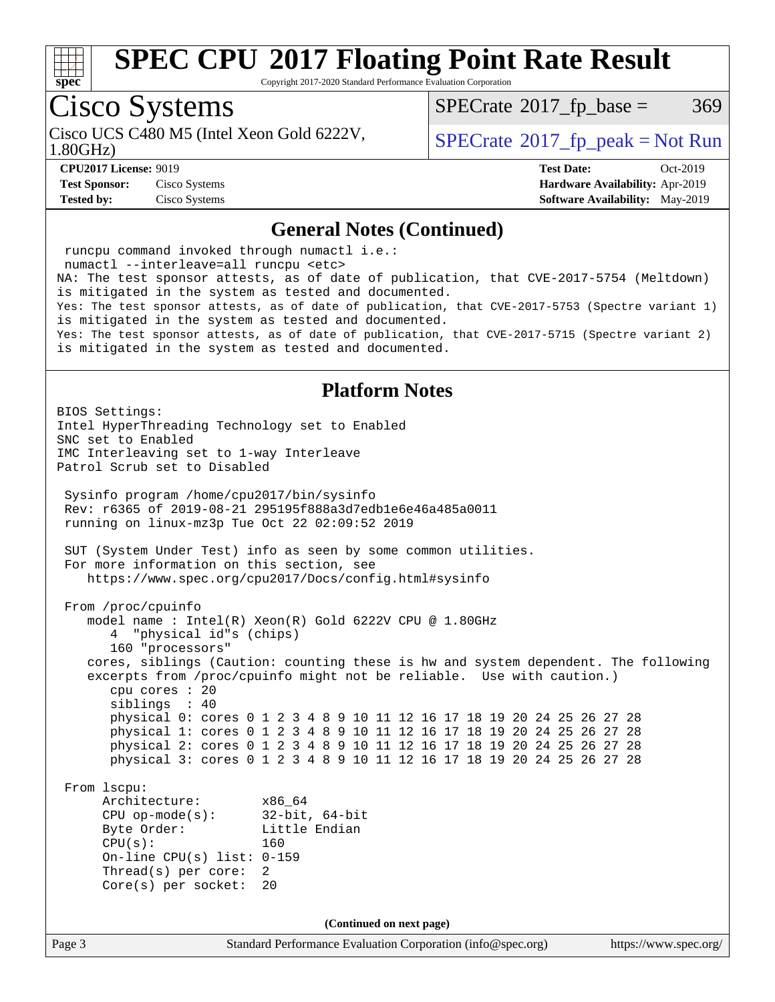

Copyright 2017-2020 Standard Performance Evaluation Corporation

## Cisco Systems

Cisco UCS C480 M5 (Intel Xeon Gold 6222V, 1.80GHz)

 $SPECTate@2017_fp\_base = 369$ 

 $SPECTate$ <sup>®</sup>[2017\\_fp\\_peak = N](http://www.spec.org/auto/cpu2017/Docs/result-fields.html#SPECrate2017fppeak)ot Run

**[CPU2017 License:](http://www.spec.org/auto/cpu2017/Docs/result-fields.html#CPU2017License)** 9019 **[Test Date:](http://www.spec.org/auto/cpu2017/Docs/result-fields.html#TestDate)** Oct-2019 **[Test Sponsor:](http://www.spec.org/auto/cpu2017/Docs/result-fields.html#TestSponsor)** Cisco Systems **[Hardware Availability:](http://www.spec.org/auto/cpu2017/Docs/result-fields.html#HardwareAvailability)** Apr-2019 **[Tested by:](http://www.spec.org/auto/cpu2017/Docs/result-fields.html#Testedby)** Cisco Systems **[Software Availability:](http://www.spec.org/auto/cpu2017/Docs/result-fields.html#SoftwareAvailability)** May-2019

#### **[General Notes \(Continued\)](http://www.spec.org/auto/cpu2017/Docs/result-fields.html#GeneralNotes)**

Page 3 Standard Performance Evaluation Corporation [\(info@spec.org\)](mailto:info@spec.org) <https://www.spec.org/> runcpu command invoked through numactl i.e.: numactl --interleave=all runcpu <etc> NA: The test sponsor attests, as of date of publication, that CVE-2017-5754 (Meltdown) is mitigated in the system as tested and documented. Yes: The test sponsor attests, as of date of publication, that CVE-2017-5753 (Spectre variant 1) is mitigated in the system as tested and documented. Yes: The test sponsor attests, as of date of publication, that CVE-2017-5715 (Spectre variant 2) is mitigated in the system as tested and documented. **[Platform Notes](http://www.spec.org/auto/cpu2017/Docs/result-fields.html#PlatformNotes)** BIOS Settings: Intel HyperThreading Technology set to Enabled SNC set to Enabled IMC Interleaving set to 1-way Interleave Patrol Scrub set to Disabled Sysinfo program /home/cpu2017/bin/sysinfo Rev: r6365 of 2019-08-21 295195f888a3d7edb1e6e46a485a0011 running on linux-mz3p Tue Oct 22 02:09:52 2019 SUT (System Under Test) info as seen by some common utilities. For more information on this section, see <https://www.spec.org/cpu2017/Docs/config.html#sysinfo> From /proc/cpuinfo model name : Intel(R) Xeon(R) Gold 6222V CPU @ 1.80GHz 4 "physical id"s (chips) 160 "processors" cores, siblings (Caution: counting these is hw and system dependent. The following excerpts from /proc/cpuinfo might not be reliable. Use with caution.) cpu cores : 20 siblings : 40 physical 0: cores 0 1 2 3 4 8 9 10 11 12 16 17 18 19 20 24 25 26 27 28 physical 1: cores 0 1 2 3 4 8 9 10 11 12 16 17 18 19 20 24 25 26 27 28 physical 2: cores 0 1 2 3 4 8 9 10 11 12 16 17 18 19 20 24 25 26 27 28 physical 3: cores 0 1 2 3 4 8 9 10 11 12 16 17 18 19 20 24 25 26 27 28 From lscpu: Architecture: x86\_64 CPU op-mode(s): 32-bit, 64-bit Byte Order: Little Endian  $CPU(s):$  160 On-line CPU(s) list: 0-159 Thread(s) per core: 2 Core(s) per socket: 20 **(Continued on next page)**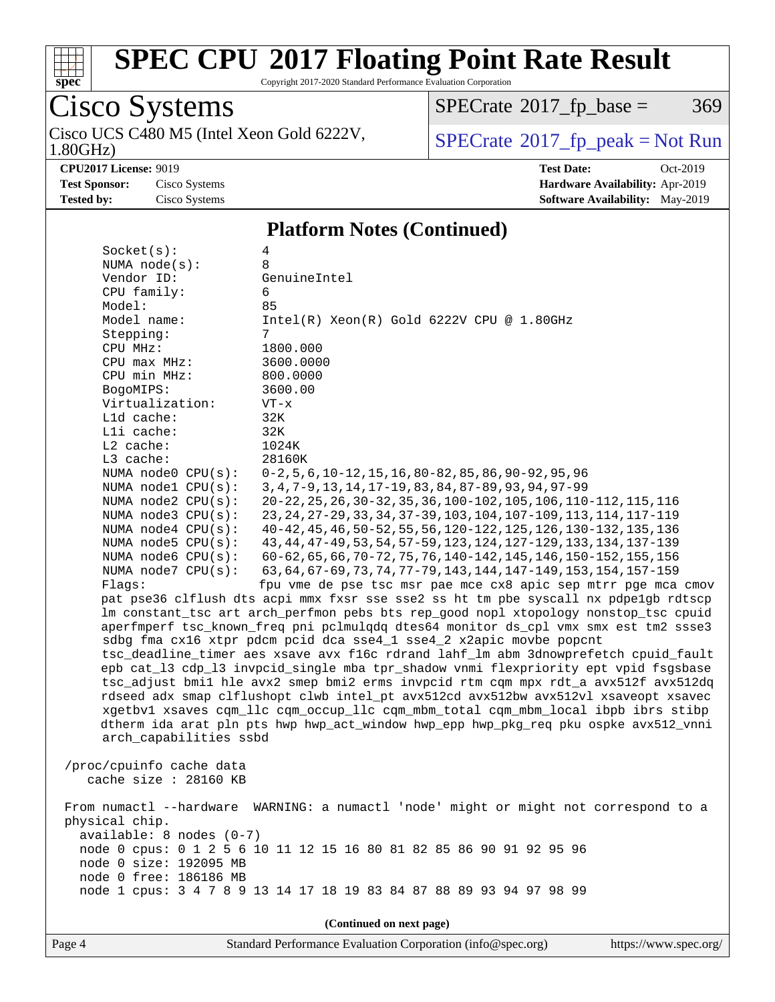

Copyright 2017-2020 Standard Performance Evaluation Corporation

# Cisco Systems<br>Cisco UCS C480 M5 (Intel Xeon Gold 6222V, 1.80GHz)

 $SPECTate@2017_fp\_base = 369$ 

 $SPECTate$ <sup>®</sup>[2017\\_fp\\_peak = N](http://www.spec.org/auto/cpu2017/Docs/result-fields.html#SPECrate2017fppeak)ot Run

**[CPU2017 License:](http://www.spec.org/auto/cpu2017/Docs/result-fields.html#CPU2017License)** 9019 **[Test Date:](http://www.spec.org/auto/cpu2017/Docs/result-fields.html#TestDate)** Oct-2019 **[Test Sponsor:](http://www.spec.org/auto/cpu2017/Docs/result-fields.html#TestSponsor)** Cisco Systems **[Hardware Availability:](http://www.spec.org/auto/cpu2017/Docs/result-fields.html#HardwareAvailability)** Apr-2019 **[Tested by:](http://www.spec.org/auto/cpu2017/Docs/result-fields.html#Testedby)** Cisco Systems **[Software Availability:](http://www.spec.org/auto/cpu2017/Docs/result-fields.html#SoftwareAvailability)** May-2019

#### **[Platform Notes \(Continued\)](http://www.spec.org/auto/cpu2017/Docs/result-fields.html#PlatformNotes)**

| Socket(s):                 | 4                                                                                    |
|----------------------------|--------------------------------------------------------------------------------------|
| NUMA $node(s)$ :           | 8                                                                                    |
| Vendor ID:                 | GenuineIntel                                                                         |
| CPU family:                | 6                                                                                    |
| Model:                     | 85                                                                                   |
| Model name:                | $Intel(R) Xeon(R) Gold 6222V CPU @ 1.80GHz$                                          |
| Stepping:                  | 7                                                                                    |
| CPU MHz:                   | 1800.000                                                                             |
| CPU max MHz:               | 3600.0000                                                                            |
| CPU min MHz:               | 800.0000                                                                             |
| BogoMIPS:                  | 3600.00                                                                              |
| Virtualization:            | $VT - x$                                                                             |
| L1d cache:                 | 32K                                                                                  |
| Lli cache:                 | 32K                                                                                  |
| L2 cache:                  | 1024K                                                                                |
| L3 cache:                  | 28160K                                                                               |
| NUMA node0 CPU(s):         | $0-2, 5, 6, 10-12, 15, 16, 80-82, 85, 86, 90-92, 95, 96$                             |
| NUMA nodel CPU(s):         | 3, 4, 7-9, 13, 14, 17-19, 83, 84, 87-89, 93, 94, 97-99                               |
| NUMA node2 CPU(s):         | 20-22, 25, 26, 30-32, 35, 36, 100-102, 105, 106, 110-112, 115, 116                   |
| NUMA node3 CPU(s):         | 23, 24, 27-29, 33, 34, 37-39, 103, 104, 107-109, 113, 114, 117-119                   |
| NUMA node4 CPU(s):         | 40-42, 45, 46, 50-52, 55, 56, 120-122, 125, 126, 130-132, 135, 136                   |
| NUMA node5 CPU(s):         | 43, 44, 47-49, 53, 54, 57-59, 123, 124, 127-129, 133, 134, 137-139                   |
| NUMA node6 CPU(s):         | 60-62, 65, 66, 70-72, 75, 76, 140-142, 145, 146, 150-152, 155, 156                   |
| NUMA node7 CPU(s):         | 63, 64, 67-69, 73, 74, 77-79, 143, 144, 147-149, 153, 154, 157-159                   |
| Flaqs:                     | fpu vme de pse tsc msr pae mce cx8 apic sep mtrr pge mca cmov                        |
|                            | pat pse36 clflush dts acpi mmx fxsr sse sse2 ss ht tm pbe syscall nx pdpelgb rdtscp  |
|                            | lm constant_tsc art arch_perfmon pebs bts rep_good nopl xtopology nonstop_tsc cpuid  |
|                            | aperfmperf tsc_known_freq pni pclmulqdq dtes64 monitor ds_cpl vmx smx est tm2 ssse3  |
|                            | sdbg fma cx16 xtpr pdcm pcid dca sse4_1 sse4_2 x2apic movbe popcnt                   |
|                            |                                                                                      |
|                            | tsc_deadline_timer aes xsave avx f16c rdrand lahf_lm abm 3dnowprefetch cpuid_fault   |
|                            | epb cat_13 cdp_13 invpcid_single mba tpr_shadow vnmi flexpriority ept vpid fsgsbase  |
|                            | tsc_adjust bmil hle avx2 smep bmi2 erms invpcid rtm cqm mpx rdt_a avx512f avx512dq   |
|                            | rdseed adx smap clflushopt clwb intel_pt avx512cd avx512bw avx512vl xsaveopt xsavec  |
|                            | xgetbvl xsaves cqm_llc cqm_occup_llc cqm_mbm_total cqm_mbm_local ibpb ibrs stibp     |
|                            | dtherm ida arat pln pts hwp hwp_act_window hwp_epp hwp_pkg_req pku ospke avx512_vnni |
| arch_capabilities ssbd     |                                                                                      |
|                            |                                                                                      |
| /proc/cpuinfo cache data   |                                                                                      |
| cache size : 28160 KB      |                                                                                      |
|                            |                                                                                      |
| From numactl --hardware    | WARNING: a numactl 'node' might or might not correspond to a                         |
| physical chip.             |                                                                                      |
| $available: 8 nodes (0-7)$ |                                                                                      |
|                            | node 0 cpus: 0 1 2 5 6 10 11 12 15 16 80 81 82 85 86 90 91 92 95 96                  |
| node 0 size: 192095 MB     |                                                                                      |
| node 0 free: 186186 MB     |                                                                                      |
|                            | node 1 cpus: 3 4 7 8 9 13 14 17 18 19 83 84 87 88 89 93 94 97 98 99                  |
|                            |                                                                                      |
|                            | (Continued on next page)                                                             |
|                            |                                                                                      |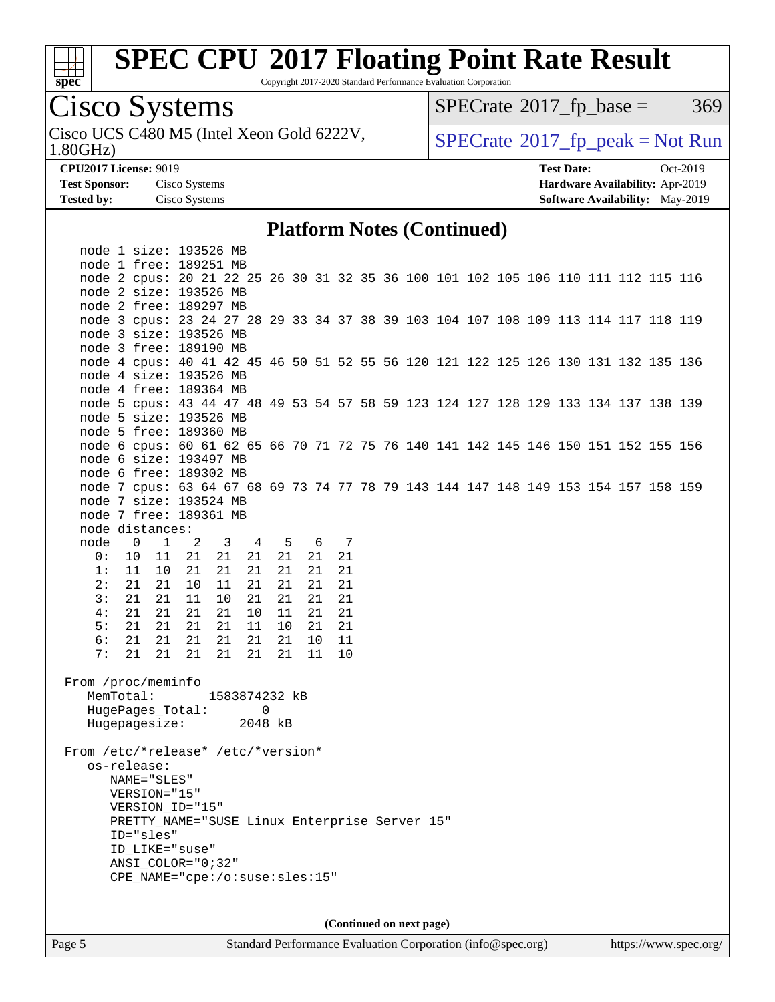

Copyright 2017-2020 Standard Performance Evaluation Corporation

## Cisco Systems

Cisco UCS C480 M5 (Intel Xeon Gold 6222V, 1.80GHz)

 $SPECTate@2017_fp\_base = 369$ 

 $SPECTate$ <sup>®</sup>[2017\\_fp\\_peak = N](http://www.spec.org/auto/cpu2017/Docs/result-fields.html#SPECrate2017fppeak)ot Run

**[Tested by:](http://www.spec.org/auto/cpu2017/Docs/result-fields.html#Testedby)** Cisco Systems **[Software Availability:](http://www.spec.org/auto/cpu2017/Docs/result-fields.html#SoftwareAvailability)** May-2019

**[CPU2017 License:](http://www.spec.org/auto/cpu2017/Docs/result-fields.html#CPU2017License)** 9019 **[Test Date:](http://www.spec.org/auto/cpu2017/Docs/result-fields.html#TestDate)** Oct-2019 **[Test Sponsor:](http://www.spec.org/auto/cpu2017/Docs/result-fields.html#TestSponsor)** Cisco Systems **[Hardware Availability:](http://www.spec.org/auto/cpu2017/Docs/result-fields.html#HardwareAvailability)** Apr-2019

#### **[Platform Notes \(Continued\)](http://www.spec.org/auto/cpu2017/Docs/result-fields.html#PlatformNotes)**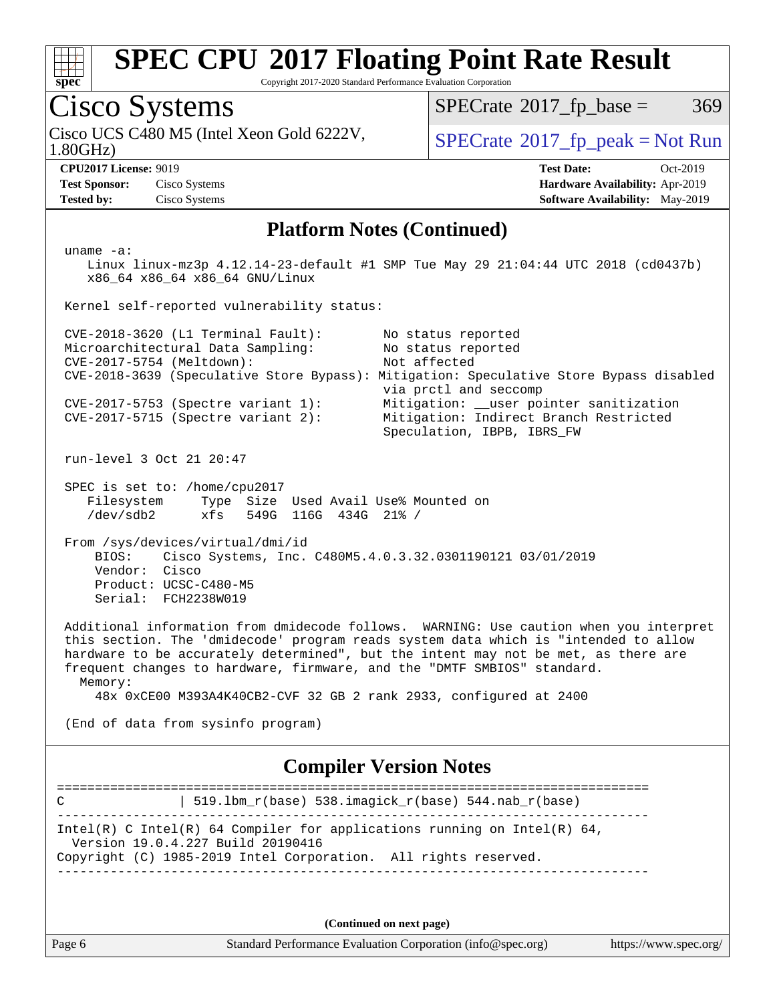

Copyright 2017-2020 Standard Performance Evaluation Corporation

## Cisco Systems

1.80GHz) Cisco UCS C480 M5 (Intel Xeon Gold 6222V,  $\begin{array}{c|c} | \text{SPECrate} \textdegree 2017\_fp\_peak = Not Run \end{array}$  $\begin{array}{c|c} | \text{SPECrate} \textdegree 2017\_fp\_peak = Not Run \end{array}$  $\begin{array}{c|c} | \text{SPECrate} \textdegree 2017\_fp\_peak = Not Run \end{array}$ 

 $SPECTate@2017_fp\_base = 369$ 

**[Test Sponsor:](http://www.spec.org/auto/cpu2017/Docs/result-fields.html#TestSponsor)** Cisco Systems **[Hardware Availability:](http://www.spec.org/auto/cpu2017/Docs/result-fields.html#HardwareAvailability)** Apr-2019 **[Tested by:](http://www.spec.org/auto/cpu2017/Docs/result-fields.html#Testedby)** Cisco Systems **[Software Availability:](http://www.spec.org/auto/cpu2017/Docs/result-fields.html#SoftwareAvailability)** May-2019

**[CPU2017 License:](http://www.spec.org/auto/cpu2017/Docs/result-fields.html#CPU2017License)** 9019 **[Test Date:](http://www.spec.org/auto/cpu2017/Docs/result-fields.html#TestDate)** Oct-2019

#### **[Platform Notes \(Continued\)](http://www.spec.org/auto/cpu2017/Docs/result-fields.html#PlatformNotes)**

 uname -a: Linux linux-mz3p 4.12.14-23-default #1 SMP Tue May 29 21:04:44 UTC 2018 (cd0437b) x86\_64 x86\_64 x86\_64 GNU/Linux Kernel self-reported vulnerability status: CVE-2018-3620 (L1 Terminal Fault): No status reported Microarchitectural Data Sampling: No status reported CVE-2017-5754 (Meltdown): Not affected CVE-2018-3639 (Speculative Store Bypass): Mitigation: Speculative Store Bypass disabled via prctl and seccomp CVE-2017-5753 (Spectre variant 1): Mitigation: \_\_user pointer sanitization CVE-2017-5715 (Spectre variant 2): Mitigation: Indirect Branch Restricted Speculation, IBPB, IBRS\_FW run-level 3 Oct 21 20:47 SPEC is set to: /home/cpu2017 Filesystem Type Size Used Avail Use% Mounted on /dev/sdb2 xfs 549G 116G 434G 21% / From /sys/devices/virtual/dmi/id BIOS: Cisco Systems, Inc. C480M5.4.0.3.32.0301190121 03/01/2019 Vendor: Cisco Product: UCSC-C480-M5

Serial: FCH2238W019

 Additional information from dmidecode follows. WARNING: Use caution when you interpret this section. The 'dmidecode' program reads system data which is "intended to allow hardware to be accurately determined", but the intent may not be met, as there are frequent changes to hardware, firmware, and the "DMTF SMBIOS" standard. Memory:

48x 0xCE00 M393A4K40CB2-CVF 32 GB 2 rank 2933, configured at 2400

(End of data from sysinfo program)

#### **[Compiler Version Notes](http://www.spec.org/auto/cpu2017/Docs/result-fields.html#CompilerVersionNotes)**

============================================================================== C  $| 519.1bm_r(base) 538.imagick_r(base) 544.nab_r(base)$ ------------------------------------------------------------------------------ Intel(R) C Intel(R) 64 Compiler for applications running on Intel(R)  $64$ , Version 19.0.4.227 Build 20190416 Copyright (C) 1985-2019 Intel Corporation. All rights reserved. ------------------------------------------------------------------------------

**(Continued on next page)**

Page 6 Standard Performance Evaluation Corporation [\(info@spec.org\)](mailto:info@spec.org) <https://www.spec.org/>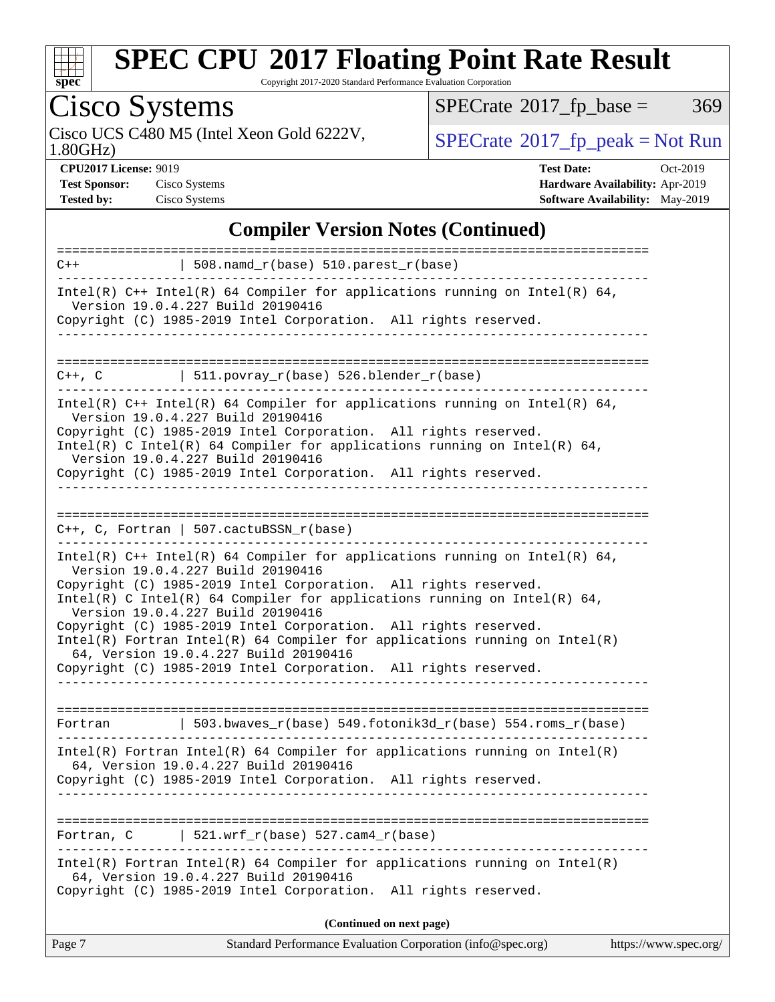

Copyright 2017-2020 Standard Performance Evaluation Corporation

## Cisco Systems

Cisco UCS C480 M5 (Intel Xeon Gold 6222V,  $SPECrate@2017_fp\_peak = Not Run$  $SPECrate@2017_fp\_peak = Not Run$ 

 $SPECTate@2017_fp\_base = 369$ 

1.80GHz)

**[CPU2017 License:](http://www.spec.org/auto/cpu2017/Docs/result-fields.html#CPU2017License)** 9019 **[Test Date:](http://www.spec.org/auto/cpu2017/Docs/result-fields.html#TestDate)** Oct-2019 **[Test Sponsor:](http://www.spec.org/auto/cpu2017/Docs/result-fields.html#TestSponsor)** Cisco Systems **[Hardware Availability:](http://www.spec.org/auto/cpu2017/Docs/result-fields.html#HardwareAvailability)** Apr-2019 **[Tested by:](http://www.spec.org/auto/cpu2017/Docs/result-fields.html#Testedby)** Cisco Systems **[Software Availability:](http://www.spec.org/auto/cpu2017/Docs/result-fields.html#SoftwareAvailability)** May-2019

#### **[Compiler Version Notes \(Continued\)](http://www.spec.org/auto/cpu2017/Docs/result-fields.html#CompilerVersionNotes)**

| $C++$      | $\vert$ 508.namd_r(base) 510.parest_r(base)                                                                           |
|------------|-----------------------------------------------------------------------------------------------------------------------|
|            | Intel(R) $C++$ Intel(R) 64 Compiler for applications running on Intel(R) 64,<br>Version 19.0.4.227 Build 20190416     |
|            | Copyright (C) 1985-2019 Intel Corporation. All rights reserved.                                                       |
|            |                                                                                                                       |
| C++, C     | $\vert$ 511.povray_r(base) 526.blender_r(base)                                                                        |
|            | Intel(R) $C++$ Intel(R) 64 Compiler for applications running on Intel(R) 64,<br>Version 19.0.4.227 Build 20190416     |
|            | Copyright (C) 1985-2019 Intel Corporation. All rights reserved.                                                       |
|            | Intel(R) C Intel(R) 64 Compiler for applications running on Intel(R) 64,<br>Version 19.0.4.227 Build 20190416         |
|            | Copyright (C) 1985-2019 Intel Corporation. All rights reserved.                                                       |
|            |                                                                                                                       |
|            |                                                                                                                       |
|            | $C++$ , C, Fortran   507.cactuBSSN_r(base)                                                                            |
|            | Intel(R) $C++$ Intel(R) 64 Compiler for applications running on Intel(R) 64,                                          |
|            | Version 19.0.4.227 Build 20190416                                                                                     |
|            | Copyright (C) 1985-2019 Intel Corporation. All rights reserved.                                                       |
|            | Intel(R) C Intel(R) 64 Compiler for applications running on Intel(R) 64,                                              |
|            | Version 19.0.4.227 Build 20190416<br>Copyright (C) 1985-2019 Intel Corporation. All rights reserved.                  |
|            | $Intel(R)$ Fortran Intel(R) 64 Compiler for applications running on Intel(R)                                          |
|            | 64, Version 19.0.4.227 Build 20190416                                                                                 |
|            | Copyright (C) 1985-2019 Intel Corporation. All rights reserved.                                                       |
|            |                                                                                                                       |
|            |                                                                                                                       |
| Fortran    | $\vert$ 503.bwaves_r(base) 549.fotonik3d_r(base) 554.roms_r(base)                                                     |
|            | $Intel(R)$ Fortran Intel(R) 64 Compiler for applications running on Intel(R)                                          |
|            | 64, Version 19.0.4.227 Build 20190416                                                                                 |
|            | Copyright (C) 1985-2019 Intel Corporation. All rights reserved.                                                       |
|            |                                                                                                                       |
|            |                                                                                                                       |
| Fortran, C | $521.wrf_r(base) 527.cam4_r(base)$                                                                                    |
|            | Intel(R) Fortran Intel(R) 64 Compiler for applications running on $Intel(R)$<br>64, Version 19.0.4.227 Build 20190416 |
|            | Copyright (C) 1985-2019 Intel Corporation. All rights reserved.                                                       |
|            | (Continued on next page)                                                                                              |
| Page 7     | Standard Performance Evaluation Corporation (info@spec.org)<br>https://www.spec.org/                                  |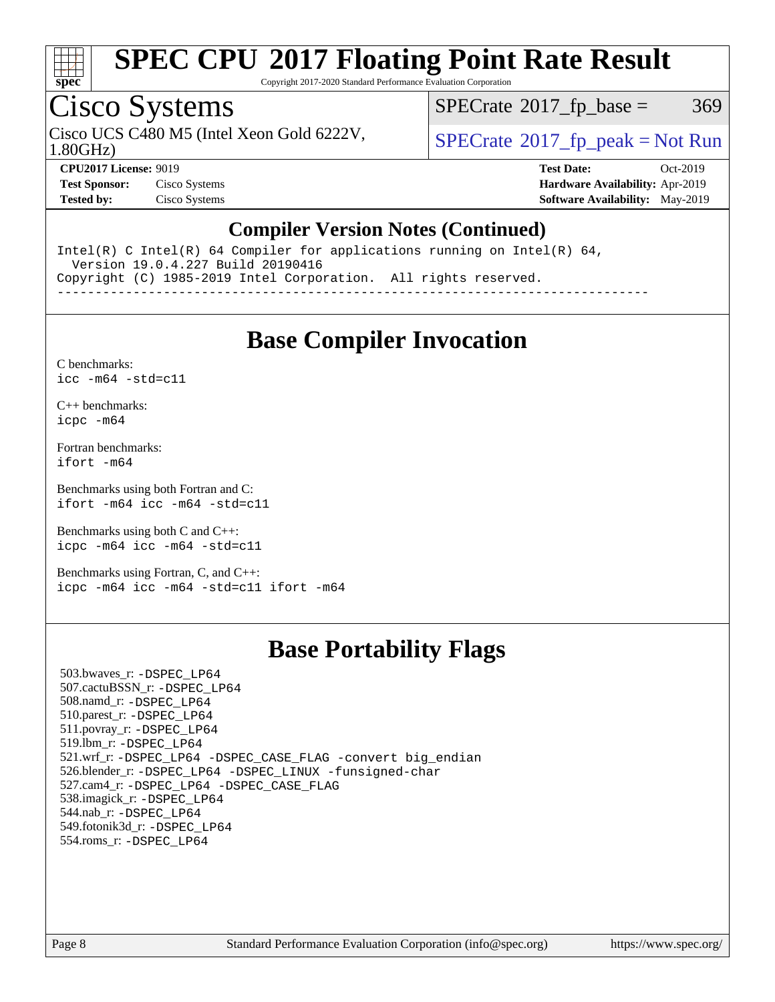

Copyright 2017-2020 Standard Performance Evaluation Corporation

## Cisco Systems

Cisco UCS C480 M5 (Intel Xeon Gold 6222V,  $\begin{array}{c|c} | \text{SPECrate} \textdegree 2017\_fp\_peak = Not Run \end{array}$  $\begin{array}{c|c} | \text{SPECrate} \textdegree 2017\_fp\_peak = Not Run \end{array}$  $\begin{array}{c|c} | \text{SPECrate} \textdegree 2017\_fp\_peak = Not Run \end{array}$ 

 $SPECTate@2017_fp\_base = 369$ 

1.80GHz)

**[CPU2017 License:](http://www.spec.org/auto/cpu2017/Docs/result-fields.html#CPU2017License)** 9019 **[Test Date:](http://www.spec.org/auto/cpu2017/Docs/result-fields.html#TestDate)** Oct-2019 **[Test Sponsor:](http://www.spec.org/auto/cpu2017/Docs/result-fields.html#TestSponsor)** Cisco Systems **[Hardware Availability:](http://www.spec.org/auto/cpu2017/Docs/result-fields.html#HardwareAvailability)** Apr-2019 **[Tested by:](http://www.spec.org/auto/cpu2017/Docs/result-fields.html#Testedby)** Cisco Systems **[Software Availability:](http://www.spec.org/auto/cpu2017/Docs/result-fields.html#SoftwareAvailability)** May-2019

#### **[Compiler Version Notes \(Continued\)](http://www.spec.org/auto/cpu2017/Docs/result-fields.html#CompilerVersionNotes)**

Intel(R) C Intel(R) 64 Compiler for applications running on Intel(R) 64, Version 19.0.4.227 Build 20190416 Copyright (C) 1985-2019 Intel Corporation. All rights reserved.

------------------------------------------------------------------------------

#### **[Base Compiler Invocation](http://www.spec.org/auto/cpu2017/Docs/result-fields.html#BaseCompilerInvocation)**

[C benchmarks](http://www.spec.org/auto/cpu2017/Docs/result-fields.html#Cbenchmarks): [icc -m64 -std=c11](http://www.spec.org/cpu2017/results/res2019q4/cpu2017-20191029-19418.flags.html#user_CCbase_intel_icc_64bit_c11_33ee0cdaae7deeeab2a9725423ba97205ce30f63b9926c2519791662299b76a0318f32ddfffdc46587804de3178b4f9328c46fa7c2b0cd779d7a61945c91cd35)

[C++ benchmarks:](http://www.spec.org/auto/cpu2017/Docs/result-fields.html#CXXbenchmarks) [icpc -m64](http://www.spec.org/cpu2017/results/res2019q4/cpu2017-20191029-19418.flags.html#user_CXXbase_intel_icpc_64bit_4ecb2543ae3f1412ef961e0650ca070fec7b7afdcd6ed48761b84423119d1bf6bdf5cad15b44d48e7256388bc77273b966e5eb805aefd121eb22e9299b2ec9d9)

[Fortran benchmarks](http://www.spec.org/auto/cpu2017/Docs/result-fields.html#Fortranbenchmarks): [ifort -m64](http://www.spec.org/cpu2017/results/res2019q4/cpu2017-20191029-19418.flags.html#user_FCbase_intel_ifort_64bit_24f2bb282fbaeffd6157abe4f878425411749daecae9a33200eee2bee2fe76f3b89351d69a8130dd5949958ce389cf37ff59a95e7a40d588e8d3a57e0c3fd751)

[Benchmarks using both Fortran and C](http://www.spec.org/auto/cpu2017/Docs/result-fields.html#BenchmarksusingbothFortranandC): [ifort -m64](http://www.spec.org/cpu2017/results/res2019q4/cpu2017-20191029-19418.flags.html#user_CC_FCbase_intel_ifort_64bit_24f2bb282fbaeffd6157abe4f878425411749daecae9a33200eee2bee2fe76f3b89351d69a8130dd5949958ce389cf37ff59a95e7a40d588e8d3a57e0c3fd751) [icc -m64 -std=c11](http://www.spec.org/cpu2017/results/res2019q4/cpu2017-20191029-19418.flags.html#user_CC_FCbase_intel_icc_64bit_c11_33ee0cdaae7deeeab2a9725423ba97205ce30f63b9926c2519791662299b76a0318f32ddfffdc46587804de3178b4f9328c46fa7c2b0cd779d7a61945c91cd35)

[Benchmarks using both C and C++](http://www.spec.org/auto/cpu2017/Docs/result-fields.html#BenchmarksusingbothCandCXX): [icpc -m64](http://www.spec.org/cpu2017/results/res2019q4/cpu2017-20191029-19418.flags.html#user_CC_CXXbase_intel_icpc_64bit_4ecb2543ae3f1412ef961e0650ca070fec7b7afdcd6ed48761b84423119d1bf6bdf5cad15b44d48e7256388bc77273b966e5eb805aefd121eb22e9299b2ec9d9) [icc -m64 -std=c11](http://www.spec.org/cpu2017/results/res2019q4/cpu2017-20191029-19418.flags.html#user_CC_CXXbase_intel_icc_64bit_c11_33ee0cdaae7deeeab2a9725423ba97205ce30f63b9926c2519791662299b76a0318f32ddfffdc46587804de3178b4f9328c46fa7c2b0cd779d7a61945c91cd35)

[Benchmarks using Fortran, C, and C++:](http://www.spec.org/auto/cpu2017/Docs/result-fields.html#BenchmarksusingFortranCandCXX) [icpc -m64](http://www.spec.org/cpu2017/results/res2019q4/cpu2017-20191029-19418.flags.html#user_CC_CXX_FCbase_intel_icpc_64bit_4ecb2543ae3f1412ef961e0650ca070fec7b7afdcd6ed48761b84423119d1bf6bdf5cad15b44d48e7256388bc77273b966e5eb805aefd121eb22e9299b2ec9d9) [icc -m64 -std=c11](http://www.spec.org/cpu2017/results/res2019q4/cpu2017-20191029-19418.flags.html#user_CC_CXX_FCbase_intel_icc_64bit_c11_33ee0cdaae7deeeab2a9725423ba97205ce30f63b9926c2519791662299b76a0318f32ddfffdc46587804de3178b4f9328c46fa7c2b0cd779d7a61945c91cd35) [ifort -m64](http://www.spec.org/cpu2017/results/res2019q4/cpu2017-20191029-19418.flags.html#user_CC_CXX_FCbase_intel_ifort_64bit_24f2bb282fbaeffd6157abe4f878425411749daecae9a33200eee2bee2fe76f3b89351d69a8130dd5949958ce389cf37ff59a95e7a40d588e8d3a57e0c3fd751)

### **[Base Portability Flags](http://www.spec.org/auto/cpu2017/Docs/result-fields.html#BasePortabilityFlags)**

 503.bwaves\_r: [-DSPEC\\_LP64](http://www.spec.org/cpu2017/results/res2019q4/cpu2017-20191029-19418.flags.html#suite_basePORTABILITY503_bwaves_r_DSPEC_LP64) 507.cactuBSSN\_r: [-DSPEC\\_LP64](http://www.spec.org/cpu2017/results/res2019q4/cpu2017-20191029-19418.flags.html#suite_basePORTABILITY507_cactuBSSN_r_DSPEC_LP64) 508.namd\_r: [-DSPEC\\_LP64](http://www.spec.org/cpu2017/results/res2019q4/cpu2017-20191029-19418.flags.html#suite_basePORTABILITY508_namd_r_DSPEC_LP64) 510.parest\_r: [-DSPEC\\_LP64](http://www.spec.org/cpu2017/results/res2019q4/cpu2017-20191029-19418.flags.html#suite_basePORTABILITY510_parest_r_DSPEC_LP64) 511.povray\_r: [-DSPEC\\_LP64](http://www.spec.org/cpu2017/results/res2019q4/cpu2017-20191029-19418.flags.html#suite_basePORTABILITY511_povray_r_DSPEC_LP64) 519.lbm\_r: [-DSPEC\\_LP64](http://www.spec.org/cpu2017/results/res2019q4/cpu2017-20191029-19418.flags.html#suite_basePORTABILITY519_lbm_r_DSPEC_LP64) 521.wrf\_r: [-DSPEC\\_LP64](http://www.spec.org/cpu2017/results/res2019q4/cpu2017-20191029-19418.flags.html#suite_basePORTABILITY521_wrf_r_DSPEC_LP64) [-DSPEC\\_CASE\\_FLAG](http://www.spec.org/cpu2017/results/res2019q4/cpu2017-20191029-19418.flags.html#b521.wrf_r_baseCPORTABILITY_DSPEC_CASE_FLAG) [-convert big\\_endian](http://www.spec.org/cpu2017/results/res2019q4/cpu2017-20191029-19418.flags.html#user_baseFPORTABILITY521_wrf_r_convert_big_endian_c3194028bc08c63ac5d04de18c48ce6d347e4e562e8892b8bdbdc0214820426deb8554edfa529a3fb25a586e65a3d812c835984020483e7e73212c4d31a38223) 526.blender\_r: [-DSPEC\\_LP64](http://www.spec.org/cpu2017/results/res2019q4/cpu2017-20191029-19418.flags.html#suite_basePORTABILITY526_blender_r_DSPEC_LP64) [-DSPEC\\_LINUX](http://www.spec.org/cpu2017/results/res2019q4/cpu2017-20191029-19418.flags.html#b526.blender_r_baseCPORTABILITY_DSPEC_LINUX) [-funsigned-char](http://www.spec.org/cpu2017/results/res2019q4/cpu2017-20191029-19418.flags.html#user_baseCPORTABILITY526_blender_r_force_uchar_40c60f00ab013830e2dd6774aeded3ff59883ba5a1fc5fc14077f794d777847726e2a5858cbc7672e36e1b067e7e5c1d9a74f7176df07886a243d7cc18edfe67) 527.cam4\_r: [-DSPEC\\_LP64](http://www.spec.org/cpu2017/results/res2019q4/cpu2017-20191029-19418.flags.html#suite_basePORTABILITY527_cam4_r_DSPEC_LP64) [-DSPEC\\_CASE\\_FLAG](http://www.spec.org/cpu2017/results/res2019q4/cpu2017-20191029-19418.flags.html#b527.cam4_r_baseCPORTABILITY_DSPEC_CASE_FLAG) 538.imagick\_r: [-DSPEC\\_LP64](http://www.spec.org/cpu2017/results/res2019q4/cpu2017-20191029-19418.flags.html#suite_basePORTABILITY538_imagick_r_DSPEC_LP64) 544.nab\_r: [-DSPEC\\_LP64](http://www.spec.org/cpu2017/results/res2019q4/cpu2017-20191029-19418.flags.html#suite_basePORTABILITY544_nab_r_DSPEC_LP64) 549.fotonik3d\_r: [-DSPEC\\_LP64](http://www.spec.org/cpu2017/results/res2019q4/cpu2017-20191029-19418.flags.html#suite_basePORTABILITY549_fotonik3d_r_DSPEC_LP64) 554.roms\_r: [-DSPEC\\_LP64](http://www.spec.org/cpu2017/results/res2019q4/cpu2017-20191029-19418.flags.html#suite_basePORTABILITY554_roms_r_DSPEC_LP64)